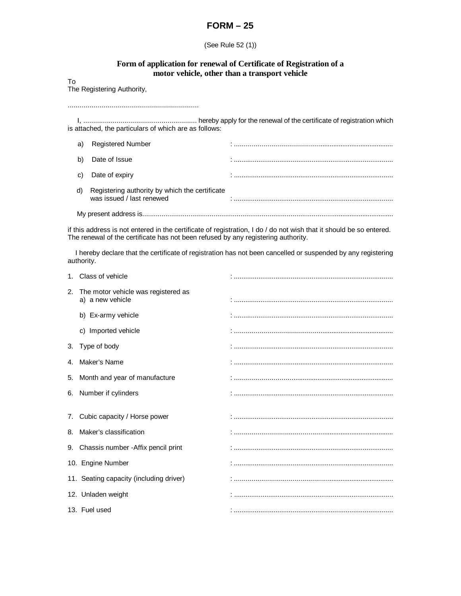## **FORM – 25**

## (See Rule 52 (1))

## **Form of application for renewal of Certificate of Registration of a motor vehicle, other than a transport vehicle**

To

The Registering Authority,

..................................................................

 I, .......................................................... hereby apply for the renewal of the certificate of registration which is attached, the particulars of which are as follows:

| a) | <b>Registered Number</b>                                                    |  |
|----|-----------------------------------------------------------------------------|--|
| b) | Date of Issue                                                               |  |
| C) | Date of expiry                                                              |  |
| d) | Registering authority by which the certificate<br>was issued / last renewed |  |
|    |                                                                             |  |

if this address is not entered in the certificate of registration, I do / do not wish that it should be so entered. The renewal of the certificate has not been refused by any registering authority.

 I hereby declare that the certificate of registration has not been cancelled or suspended by any registering authority.

| 1. Class of vehicle                                        |  |
|------------------------------------------------------------|--|
| 2. The motor vehicle was registered as<br>a) a new vehicle |  |
| b) Ex-army vehicle                                         |  |
| c) Imported vehicle                                        |  |
| 3. Type of body                                            |  |
| 4. Maker's Name                                            |  |
| 5. Month and year of manufacture                           |  |
| 6. Number if cylinders                                     |  |
| 7. Cubic capacity / Horse power                            |  |
| 8. Maker's classification                                  |  |
| 9. Chassis number - Affix pencil print                     |  |
| 10. Engine Number                                          |  |
| 11. Seating capacity (including driver)                    |  |
| 12. Unladen weight                                         |  |
| 13. Fuel used                                              |  |